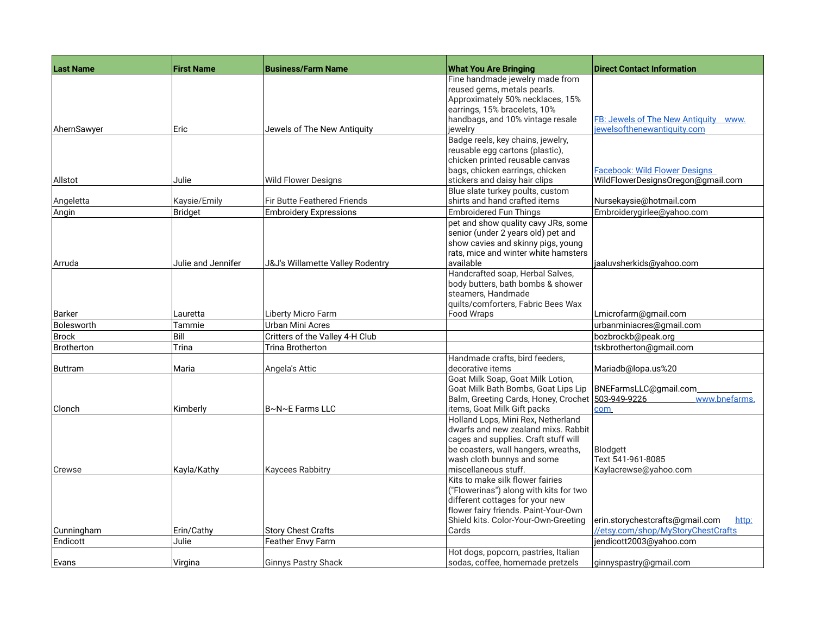| <b>Last Name</b> | <b>First Name</b>  | <b>Business/Farm Name</b>          | <b>What You Are Bringing</b>                                                                                                                                                                                   | <b>Direct Contact Information</b>                                         |
|------------------|--------------------|------------------------------------|----------------------------------------------------------------------------------------------------------------------------------------------------------------------------------------------------------------|---------------------------------------------------------------------------|
|                  |                    |                                    | Fine handmade jewelry made from<br>reused gems, metals pearls.<br>Approximately 50% necklaces, 15%<br>earrings, 15% bracelets, 10%<br>handbags, and 10% vintage resale                                         | FB: Jewels of The New Antiquity WWW.                                      |
| AhernSawyer      | Eric               | Jewels of The New Antiquity        | iewelrv                                                                                                                                                                                                        | jewelsofthenewantiquity.com                                               |
| Allstot          | Julie              | Wild Flower Designs                | Badge reels, key chains, jewelry,<br>reusable egg cartons (plastic),<br>chicken printed reusable canvas<br>bags, chicken earrings, chicken<br>stickers and daisy hair clips                                    | <b>Facebook: Wild Flower Designs</b><br>WildFlowerDesignsOregon@gmail.com |
| Angeletta        | Kaysie/Emily       | <b>Fir Butte Feathered Friends</b> | Blue slate turkey poults, custom<br>shirts and hand crafted items                                                                                                                                              | Nursekaysie@hotmail.com                                                   |
| Angin            | Bridget            | <b>Embroidery Expressions</b>      | <b>Embroidered Fun Things</b>                                                                                                                                                                                  | Embroiderygirlee@yahoo.com                                                |
|                  |                    |                                    | pet and show quality cavy JRs, some<br>senior (under 2 years old) pet and<br>show cavies and skinny pigs, young<br>rats, mice and winter white hamsters                                                        |                                                                           |
| Arruda           | Julie and Jennifer | J&J's Willamette Valley Rodentry   | available                                                                                                                                                                                                      | jaaluvsherkids@yahoo.com                                                  |
| Barker           | Lauretta           | Liberty Micro Farm                 | Handcrafted soap, Herbal Salves,<br>body butters, bath bombs & shower<br>steamers. Handmade<br>quilts/comforters, Fabric Bees Wax<br>Food Wraps                                                                | Lmicrofarm@gmail.com                                                      |
| Bolesworth       | Tammie             | Urban Mini Acres                   |                                                                                                                                                                                                                | urbanminiacres@gmail.com                                                  |
| <b>Brock</b>     | Bill               | Critters of the Valley 4-H Club    |                                                                                                                                                                                                                | bozbrockb@peak.org                                                        |
| Brotherton       | Trina              | <b>Trina Brotherton</b>            |                                                                                                                                                                                                                | tskbrotherton@gmail.com                                                   |
| <b>Buttram</b>   | Maria              | Angela's Attic                     | Handmade crafts, bird feeders,<br>decorative items                                                                                                                                                             | Mariadb@lopa.us%20                                                        |
| Clonch           | Kimberly           | B~N~E Farms LLC                    | Goat Milk Soap, Goat Milk Lotion,<br>Goat Milk Bath Bombs, Goat Lips Lip   BNEFarmsLLC@gmail.com<br>Balm, Greeting Cards, Honey, Crochet 503-949-9226<br>items, Goat Milk Gift packs                           | www.bnefarms.<br><b>com</b>                                               |
| Crewse           | Kayla/Kathy        | <b>Kaycees Rabbitry</b>            | Holland Lops, Mini Rex, Netherland<br>dwarfs and new zealand mixs. Rabbit<br>cages and supplies. Craft stuff will<br>be coasters, wall hangers, wreaths,<br>wash cloth bunnys and some<br>miscellaneous stuff. | Blodgett<br>Text 541-961-8085<br>Kaylacrewse@yahoo.com                    |
|                  |                    |                                    | Kits to make silk flower fairies<br>("Flowerinas") along with kits for two<br>different cottages for your new<br>flower fairy friends. Paint-Your-Own<br>Shield kits. Color-Your-Own-Greeting                  | erin.storychestcrafts@gmail.com<br>http:                                  |
| Cunningham       | Erin/Cathy         | <b>Story Chest Crafts</b>          | Cards                                                                                                                                                                                                          | //etsy.com/shop/MyStoryChestCrafts                                        |
| Endicott         | Julie              | Feather Envy Farm                  |                                                                                                                                                                                                                | jendicott2003@yahoo.com                                                   |
| Evans            | Virgina            | <b>Ginnys Pastry Shack</b>         | Hot dogs, popcorn, pastries, Italian<br>sodas, coffee, homemade pretzels                                                                                                                                       | ginnyspastry@gmail.com                                                    |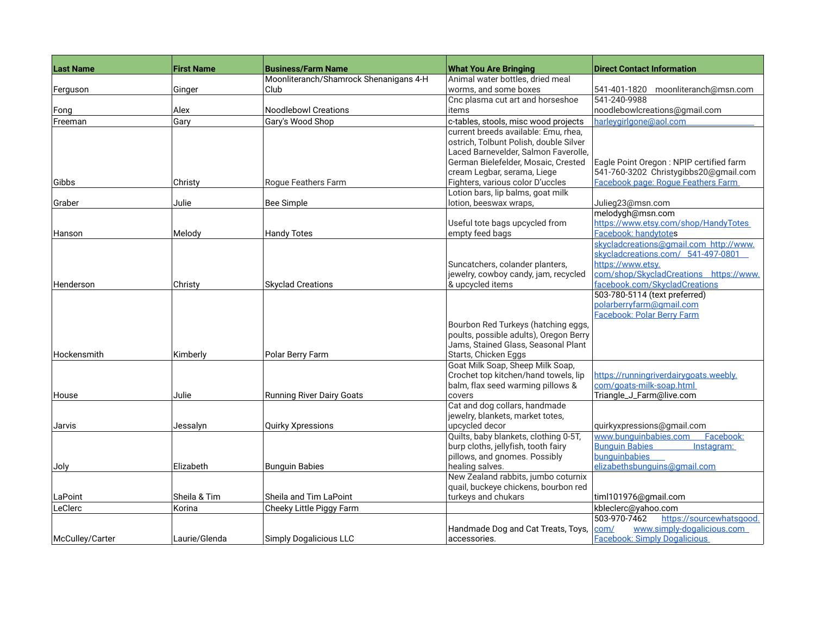| <b>Last Name</b> | <b>First Name</b> | <b>Business/Farm Name</b>              | <b>What You Are Bringing</b>                                | <b>Direct Contact Information</b>                                            |
|------------------|-------------------|----------------------------------------|-------------------------------------------------------------|------------------------------------------------------------------------------|
|                  |                   | Moonliteranch/Shamrock Shenanigans 4-H | Animal water bottles, dried meal                            |                                                                              |
| Ferguson         | Ginger            | Club                                   | worms, and some boxes                                       | 541-401-1820 moonliteranch@msn.com                                           |
|                  |                   |                                        | Cnc plasma cut art and horseshoe                            | 541-240-9988                                                                 |
| Fong             | Alex              | <b>Noodlebowl Creations</b>            | items                                                       | noodlebowlcreations@gmail.com                                                |
| Freeman          | Gary              | Gary's Wood Shop                       | c-tables, stools, misc wood projects                        | harleygirlgone@aol.com                                                       |
|                  |                   |                                        | current breeds available: Emu, rhea,                        |                                                                              |
|                  |                   |                                        | ostrich, Tolbunt Polish, double Silver                      |                                                                              |
|                  |                   |                                        | Laced Barnevelder, Salmon Faverolle,                        |                                                                              |
|                  |                   |                                        | German Bielefelder, Mosaic, Crested                         | Eagle Point Oregon : NPIP certified farm                                     |
|                  |                   |                                        | cream Legbar, serama, Liege                                 | 541-760-3202 Christygibbs20@gmail.com                                        |
| Gibbs            | Christy           | Rogue Feathers Farm                    | Fighters, various color D'uccles                            | Facebook page: Roque Feathers Farm                                           |
|                  |                   |                                        | Lotion bars, lip balms, goat milk                           |                                                                              |
| Graber           | Julie             | <b>Bee Simple</b>                      | lotion, beeswax wraps,                                      | Julieg23@msn.com                                                             |
|                  |                   |                                        |                                                             | melodygh@msn.com                                                             |
|                  |                   |                                        | Useful tote bags upcycled from                              | https://www.etsy.com/shop/HandyTotes                                         |
| Hanson           | Melody            | <b>Handy Totes</b>                     | empty feed bags                                             | <b>Facebook: handytotes</b>                                                  |
|                  |                   |                                        |                                                             | skycladcreations@gmail.com http://www.<br>skycladcreations.com/ 541-497-0801 |
|                  |                   |                                        | Suncatchers, colander planters,                             | https://www.etsy.                                                            |
|                  |                   |                                        | jewelry, cowboy candy, jam, recycled                        | com/shop/SkycladCreations https://www.                                       |
| Henderson        | Christy           | <b>Skyclad Creations</b>               | & upcycled items                                            | facebook.com/SkycladCreations                                                |
|                  |                   |                                        |                                                             | 503-780-5114 (text preferred)                                                |
|                  |                   |                                        |                                                             | polarberryfarm@gmail.com                                                     |
|                  |                   |                                        |                                                             | Facebook: Polar Berry Farm                                                   |
|                  |                   |                                        | Bourbon Red Turkeys (hatching eggs,                         |                                                                              |
|                  |                   |                                        | poults, possible adults), Oregon Berry                      |                                                                              |
|                  |                   |                                        | Jams, Stained Glass, Seasonal Plant<br>Starts, Chicken Eggs |                                                                              |
| Hockensmith      | Kimberly          | Polar Berry Farm                       | Goat Milk Soap, Sheep Milk Soap,                            |                                                                              |
|                  |                   |                                        | Crochet top kitchen/hand towels, lip                        | https://runningriverdairygoats.weebly.                                       |
|                  |                   |                                        | balm, flax seed warming pillows &                           | com/goats-milk-soap.html                                                     |
| House            | Julie             | <b>Running River Dairy Goats</b>       | covers                                                      | Triangle_J_Farm@live.com                                                     |
|                  |                   |                                        | Cat and dog collars, handmade                               |                                                                              |
|                  |                   |                                        | jewelry, blankets, market totes,                            |                                                                              |
| Jarvis           | Jessalyn          | Quirky Xpressions                      | upcycled decor                                              | quirkyxpressions@gmail.com                                                   |
|                  |                   |                                        | Quilts, baby blankets, clothing 0-5T,                       | www.bunguinbabies.com<br>Facebook:                                           |
|                  |                   |                                        | burp cloths, jellyfish, tooth fairy                         | <b>Bunguin Babies</b><br>Instagram:                                          |
|                  |                   |                                        | pillows, and gnomes. Possibly                               | bunguinbabies                                                                |
| Joly             | Elizabeth         | <b>Bunguin Babies</b>                  | healing salves.                                             | elizabethsbunguins@gmail.com                                                 |
|                  |                   |                                        | New Zealand rabbits, jumbo coturnix                         |                                                                              |
|                  |                   |                                        | quail, buckeye chickens, bourbon red                        |                                                                              |
| LaPoint          | Sheila & Tim      | Sheila and Tim LaPoint                 | turkeys and chukars                                         | timl101976@gmail.com                                                         |
| LeClerc          | Korina            | Cheeky Little Piggy Farm               |                                                             | kbleclerc@yahoo.com                                                          |
|                  |                   |                                        |                                                             | 503-970-7462<br>https://sourcewhatsgood.                                     |
|                  |                   |                                        | Handmade Dog and Cat Treats, Toys,                          | www.simply-dogalicious.com<br>com/                                           |
| McCulley/Carter  | Laurie/Glenda     | <b>Simply Dogalicious LLC</b>          | accessories.                                                | <b>Facebook: Simply Dogalicious</b>                                          |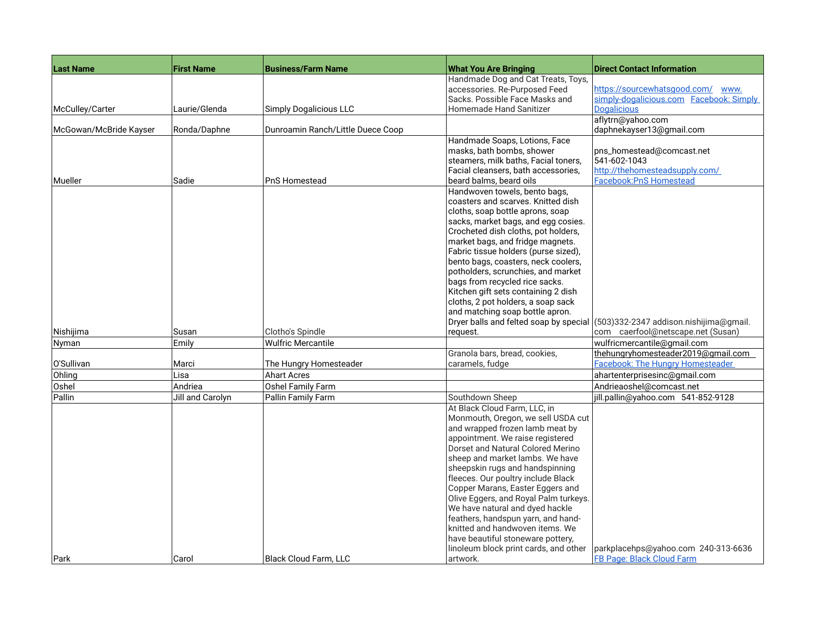| <b>Last Name</b>       | <b>First Name</b> | <b>Business/Farm Name</b>                     | <b>What You Are Bringing</b>                                         | <b>Direct Contact Information</b>                                             |
|------------------------|-------------------|-----------------------------------------------|----------------------------------------------------------------------|-------------------------------------------------------------------------------|
|                        |                   |                                               | Handmade Dog and Cat Treats, Toys,                                   |                                                                               |
|                        |                   |                                               | accessories. Re-Purposed Feed                                        | https://sourcewhatsgood.com/ www.                                             |
|                        |                   |                                               | Sacks, Possible Face Masks and                                       | simply-dogalicious.com Facebook: Simply                                       |
| McCulley/Carter        | Laurie/Glenda     | <b>Simply Dogalicious LLC</b>                 | Homemade Hand Sanitizer                                              | <b>Dogalicious</b>                                                            |
| McGowan/McBride Kayser | Ronda/Daphne      | Dunroamin Ranch/Little Duece Coop             |                                                                      | aflytrn@yahoo.com<br>daphnekayser13@gmail.com                                 |
|                        |                   |                                               | Handmade Soaps, Lotions, Face                                        |                                                                               |
|                        |                   |                                               | masks, bath bombs, shower                                            | pns_homestead@comcast.net                                                     |
|                        |                   |                                               | steamers, milk baths, Facial toners,                                 | 541-602-1043                                                                  |
|                        |                   |                                               | Facial cleansers, bath accessories,                                  | http://thehomesteadsupply.com/                                                |
| Mueller                | Sadie             | PnS Homestead                                 | beard balms, beard oils                                              | <b>Facebook:PnS Homestead</b>                                                 |
|                        |                   |                                               | Handwoven towels, bento bags,<br>coasters and scarves. Knitted dish  |                                                                               |
|                        |                   |                                               | cloths, soap bottle aprons, soap                                     |                                                                               |
|                        |                   |                                               | sacks, market bags, and egg cosies.                                  |                                                                               |
|                        |                   |                                               | Crocheted dish cloths, pot holders,                                  |                                                                               |
|                        |                   |                                               | market bags, and fridge magnets.                                     |                                                                               |
|                        |                   |                                               | Fabric tissue holders (purse sized),                                 |                                                                               |
|                        |                   |                                               | bento bags, coasters, neck coolers,                                  |                                                                               |
|                        |                   |                                               | potholders, scrunchies, and market                                   |                                                                               |
|                        |                   |                                               | bags from recycled rice sacks.                                       |                                                                               |
|                        |                   |                                               | Kitchen gift sets containing 2 dish                                  |                                                                               |
|                        |                   |                                               | cloths, 2 pot holders, a soap sack                                   |                                                                               |
|                        |                   |                                               | and matching soap bottle apron.                                      |                                                                               |
|                        |                   |                                               |                                                                      | Dryer balls and felted soap by special (503)332-2347 addison.nishijima@gmail. |
| Nishijima<br>Nyman     | Susan<br>Emily    | Clotho's Spindle<br><b>Wulfric Mercantile</b> | request.                                                             | com caerfool@netscape.net (Susan)<br>wulfricmercantile@gmail.com              |
|                        |                   |                                               | Granola bars, bread, cookies,                                        | thehungryhomesteader2019@gmail.com                                            |
| O'Sullivan             | Marci             | The Hungry Homesteader                        | caramels, fudge                                                      | <b>Facebook: The Hungry Homesteader</b>                                       |
| Ohling                 | Lisa              | <b>Ahart Acres</b>                            |                                                                      | ahartenterprisesinc@gmail.com                                                 |
| Oshel                  | Andriea           | Oshel Family Farm                             |                                                                      | Andrieaoshel@comcast.net                                                      |
| Pallin                 | Jill and Carolyn  | Pallin Family Farm                            | Southdown Sheep                                                      | jill.pallin@yahoo.com 541-852-9128                                            |
|                        |                   |                                               | At Black Cloud Farm, LLC, in                                         |                                                                               |
|                        |                   |                                               | Monmouth, Oregon, we sell USDA cut                                   |                                                                               |
|                        |                   |                                               | and wrapped frozen lamb meat by                                      |                                                                               |
|                        |                   |                                               | appointment. We raise registered                                     |                                                                               |
|                        |                   |                                               | Dorset and Natural Colored Merino<br>sheep and market lambs. We have |                                                                               |
|                        |                   |                                               | sheepskin rugs and handspinning                                      |                                                                               |
|                        |                   |                                               | fleeces. Our poultry include Black                                   |                                                                               |
|                        |                   |                                               | Copper Marans, Easter Eggers and                                     |                                                                               |
|                        |                   |                                               | Olive Eggers, and Royal Palm turkeys.                                |                                                                               |
|                        |                   |                                               | We have natural and dyed hackle                                      |                                                                               |
|                        |                   |                                               | feathers, handspun yarn, and hand-                                   |                                                                               |
|                        |                   |                                               | knitted and handwoven items. We                                      |                                                                               |
|                        |                   |                                               | have beautiful stoneware pottery,                                    |                                                                               |
|                        |                   |                                               | linoleum block print cards, and other                                | parkplacehps@yahoo.com 240-313-6636                                           |
| Park                   | Carol             | Black Cloud Farm, LLC                         | artwork.                                                             | <b>FB Page: Black Cloud Farm</b>                                              |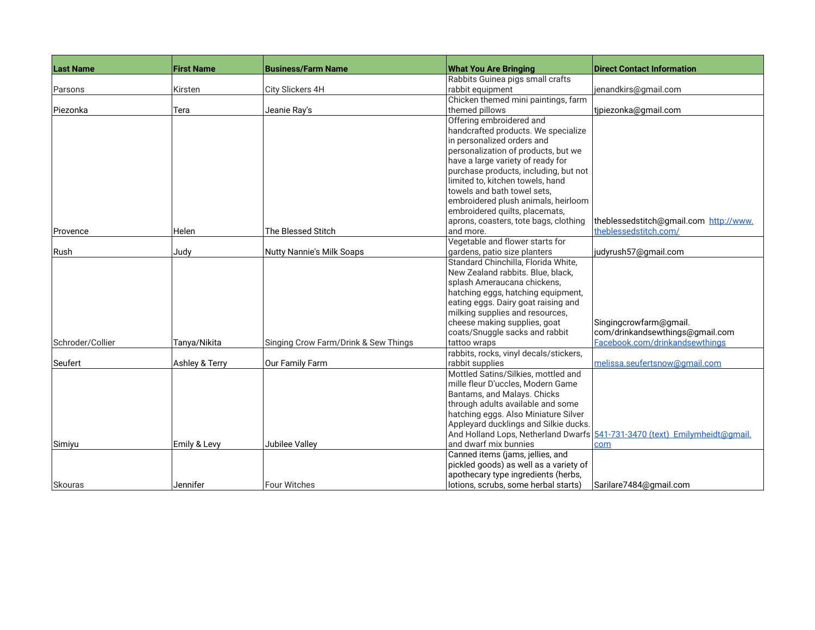| <b>Last Name</b> | <b>First Name</b> | <b>Business/Farm Name</b>            | <b>What You Are Bringing</b>           | <b>Direct Contact Information</b>                                          |
|------------------|-------------------|--------------------------------------|----------------------------------------|----------------------------------------------------------------------------|
|                  |                   |                                      | Rabbits Guinea pigs small crafts       |                                                                            |
| Parsons          | Kirsten           | City Slickers 4H                     | rabbit equipment                       | jenandkirs@gmail.com                                                       |
|                  |                   |                                      | Chicken themed mini paintings, farm    |                                                                            |
| Piezonka         | Tera              | Jeanie Ray's                         | themed pillows                         | tipiezonka@gmail.com                                                       |
|                  |                   |                                      | Offering embroidered and               |                                                                            |
|                  |                   |                                      | handcrafted products. We specialize    |                                                                            |
|                  |                   |                                      | in personalized orders and             |                                                                            |
|                  |                   |                                      | personalization of products, but we    |                                                                            |
|                  |                   |                                      | have a large variety of ready for      |                                                                            |
|                  |                   |                                      | purchase products, including, but not  |                                                                            |
|                  |                   |                                      | limited to, kitchen towels, hand       |                                                                            |
|                  |                   |                                      | towels and bath towel sets,            |                                                                            |
|                  |                   |                                      | embroidered plush animals, heirloom    |                                                                            |
|                  |                   |                                      | embroidered quilts, placemats,         |                                                                            |
|                  |                   |                                      | aprons, coasters, tote bags, clothing  | theblessedstitch@gmail.com http://www.                                     |
| Provence         | Helen             | The Blessed Stitch                   | and more.                              | theblessedstitch.com/                                                      |
|                  |                   |                                      | Vegetable and flower starts for        |                                                                            |
| Rush             | Judy              | <b>Nutty Nannie's Milk Soaps</b>     | gardens, patio size planters           | judyrush57@gmail.com                                                       |
|                  |                   |                                      | Standard Chinchilla, Florida White,    |                                                                            |
|                  |                   |                                      | New Zealand rabbits. Blue, black,      |                                                                            |
|                  |                   |                                      | splash Ameraucana chickens,            |                                                                            |
|                  |                   |                                      | hatching eggs, hatching equipment,     |                                                                            |
|                  |                   |                                      | eating eggs. Dairy goat raising and    |                                                                            |
|                  |                   |                                      | milking supplies and resources,        |                                                                            |
|                  |                   |                                      | cheese making supplies, goat           | Singingcrowfarm@gmail.                                                     |
|                  |                   |                                      | coats/Snuggle sacks and rabbit         | com/drinkandsewthings@gmail.com                                            |
| Schroder/Collier | Tanya/Nikita      | Singing Crow Farm/Drink & Sew Things | tattoo wraps                           | Facebook.com/drinkandsewthings                                             |
|                  |                   |                                      | rabbits, rocks, vinyl decals/stickers, |                                                                            |
| Seufert          | Ashley & Terry    | Our Family Farm                      | rabbit supplies                        | melissa.seufertsnow@qmail.com                                              |
|                  |                   |                                      | Mottled Satins/Silkies, mottled and    |                                                                            |
|                  |                   |                                      | mille fleur D'uccles, Modern Game      |                                                                            |
|                  |                   |                                      | Bantams, and Malays. Chicks            |                                                                            |
|                  |                   |                                      | through adults available and some      |                                                                            |
|                  |                   |                                      | hatching eggs. Also Miniature Silver   |                                                                            |
|                  |                   |                                      | Appleyard ducklings and Silkie ducks.  |                                                                            |
|                  |                   |                                      |                                        | And Holland Lops, Netherland Dwarfs 541-731-3470 (text) Emilymheidt@gmail. |
| Simiyu           | Emily & Levy      | Jubilee Valley                       | and dwarf mix bunnies                  | com                                                                        |
|                  |                   |                                      | Canned items (jams, jellies, and       |                                                                            |
|                  |                   |                                      | pickled goods) as well as a variety of |                                                                            |
|                  | Jennifer          | <b>Four Witches</b>                  | apothecary type ingredients (herbs,    |                                                                            |
| Skouras          |                   |                                      | lotions, scrubs, some herbal starts)   | Sarilare7484@gmail.com                                                     |